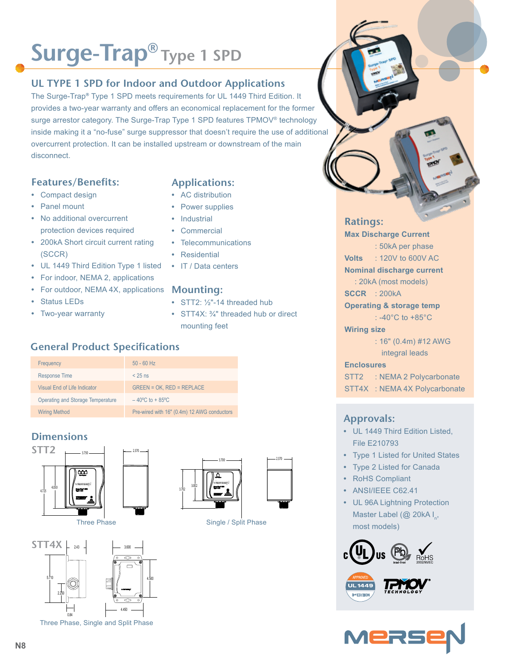## **Surge-Trap® Type 1 SPD**

#### **UL TYPE 1 SPD for Indoor and Outdoor Applications**

The Surge-Trap**®** Type 1 SPD meets requirements for UL 1449 Third Edition. It provides a two-year warranty and offers an economical replacement for the former surge arrestor category. The Surge-Trap Type 1 SPD features TPMOV® technology inside making it a "no-fuse" surge suppressor that doesn't require the use of additional overcurrent protection. It can be installed upstream or downstream of the main disconnect.

#### **Features/Benefits:**

- **•** Compact design
- **•** Panel mount
- **•** No additional overcurrent protection devices required
- **•** 200kA Short circuit current rating (SCCR)
- **•** UL 1449 Third Edition Type 1 listed
- **•** For indoor, NEMA 2, applications
- For outdoor, NEMA 4X, applications Mounting:
- **•** Status LEDs
- **•** Two-year warranty
- **Applications:**
- **•** AC distribution
- **•** Power supplies
- **•** Industrial
- **•** Commercial
- **•** Telecommunications
- **•** Residential
- **•** IT / Data centers

- **•** STT2: ½"-14 threaded hub
- **•** STT4X: ¾" threaded hub or direct mounting feet

### **General Product Specifications**

| Frequency                         | $50 - 60$ Hz                                |
|-----------------------------------|---------------------------------------------|
| <b>Response Time</b>              | $< 25$ ns                                   |
| Visual End of Life Indicator      | $GREEN = OK$ , $RED = REPLACE$              |
| Operating and Storage Temperature | $-40^{\circ}$ C to + 85 $^{\circ}$ C        |
| <b>Wiring Method</b>              | Pre-wired with 16" (0.4m) 12 AWG conductors |

### **Dimensions**





Three Phase, Single and Split Phase



Three Phase Single / Split Phase

#### **Ratings:**

**Max Discharge Current**

: 50kA per phase **Volts** : 120V to 600V AC

**Nominal discharge current**

: 20kA (most models)

**SCCR** : 200kA

**Operating & storage temp**

: -40°C to +85°C

**Wiring size**

: 16" (0.4m) #12 AWG integral leads

#### **Enclosures**

STT2 : NEMA 2 Polycarbonate

STT4X : NEMA 4X Polycarbonate

#### **Approvals:**

- **•** UL 1449 Third Edition Listed, File E210793
- **•** Type 1 Listed for United States
- **•** Type 2 Listed for Canada
- **•** RoHS Compliant
- **•** ANSI/IEEE C62.41
- **•** UL 96A Lightning Protection Master Label (@ 20kA  $I_{n}$ , most models)